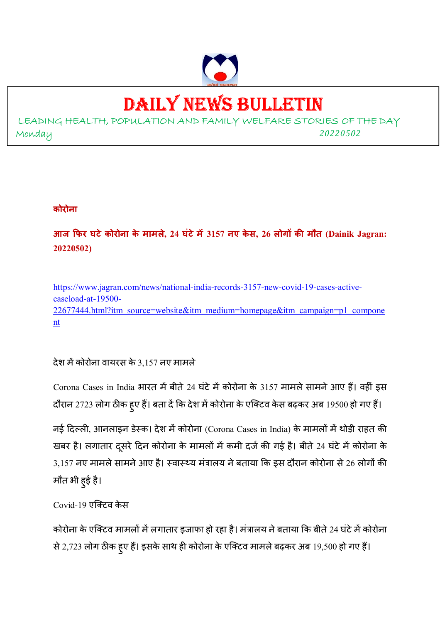

# DAILY NEWS BULLETIN

LEADING HEALTH, POPULATION AND FAMILY WELFARE STORIES OF THE DAY Monday *<sup>20220502</sup>*

# **कोरोना**

**आज फर घटेकोरोना के मामले, 24 घंटेम 3157 नए के स, 26 लोग क मौत (Dainik Jagran: 20220502)** 

https://www.jagran.com/news/national-india-records-3157-new-covid-19-cases-activecaseload-at-19500- 22677444.html?itm\_source=website&itm\_medium=homepage&itm\_campaign=p1\_compone nt

देश में कोरोना वायरस के 3,157 नए मामले

Corona Cases in India भारत में बीते 24 घंटे में कोरोना के 3157 मामले सामने आए हैं। वहीं इस दौरान 2723 लोग ठीक हुए हैं। बता दें कि देश में कोरोना के एक्टिव केस बढ़कर अब 19500 हो गए हैं।

नई दिल्ली, आनलाइन डेस्क। देश में कोरोना (Corona Cases in India) के मामलों में थोड़ी राहत की खबर है। लगातार दूसरे दिन कोरोना के मामलों में कमी दर्ज की गई है। बीते 24 घंटे में कोरोना के  $3,157$  नए मामले सामने आए है। स्वास्थ्य मंत्रालय ने बताया कि इस दौरान कोरोना से 26 लोगों की मौत भी हुई है।

Covid-19 एक्टिव केस

कोरोना के एक्टिव मामलों में लगातार इजाफा हो रहा है। मंत्रालय ने बताया कि बीते 24 घंटे में कोरोना से 2,723 लोग ठीक हुए हैं। इसके साथ ही कोरोना के एक्टिव मामले बढ़कर अब 19,500 हो गए हैं।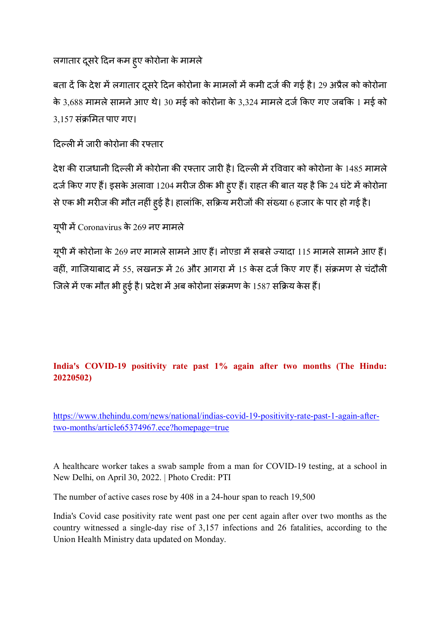लगातार दूसरे दिन कम हुए कोरोना के मामले

बता दें कि देश में लगातार दूसरे दिन कोरोना के मामलों में कमी दर्ज की गई है। 29 अप्रैल को कोरोना के 3,688 मामले सामने आए थे। 30 मई को कोरोना के 3,324 मामले दर्ज किए गए जबकि 1 मई को  $3,157$  संक्रमित पाए गए।

# दिल्ली में जारी कोरोना की रफ्तार

देश की राजधानी दिल्ली में कोरोना की रफ्तार जारी है। दिल्ली में रविवार को कोरोना के 1485 मामले दर्ज किए गए हैं। इसके अलावा 1204 मरीज ठीक भी हुए हैं। राहत की बात यह है कि 24 घंटे में कोरोना से एक भी मरीज की मौत नहीं हुई है। हालांकि, सक्रिय मरीजों की संख्या 6 हजार के पार हो गई है।

यूपी में Coronavirus के 269 नए मामले

यूपी में कोरोना के 269 नए मामले सामने आए हैं। नोएडा में सबसे ज्यादा 115 मामले सामने आए हैं। वहीं, गाजियाबाद में 55, लखनऊ में 26 और आगरा में 15 केस दर्ज किए गए हैं। संक्रमण से चंदौली जिले में एक मौत भी हुई है। प्रदेश में अब कोरोना संक्रमण के 1587 सक्रिय केस हैं।

# **India's COVID-19 positivity rate past 1% again after two months (The Hindu: 20220502)**

https://www.thehindu.com/news/national/indias-covid-19-positivity-rate-past-1-again-aftertwo-months/article65374967.ece?homepage=true

A healthcare worker takes a swab sample from a man for COVID-19 testing, at a school in New Delhi, on April 30, 2022. | Photo Credit: PTI

The number of active cases rose by 408 in a 24-hour span to reach 19,500

India's Covid case positivity rate went past one per cent again after over two months as the country witnessed a single-day rise of 3,157 infections and 26 fatalities, according to the Union Health Ministry data updated on Monday.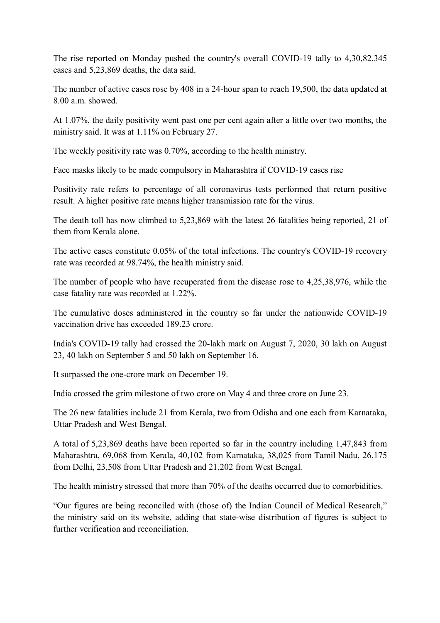The rise reported on Monday pushed the country's overall COVID-19 tally to 4,30,82,345 cases and 5,23,869 deaths, the data said.

The number of active cases rose by 408 in a 24-hour span to reach 19,500, the data updated at 8.00 a.m. showed.

At 1.07%, the daily positivity went past one per cent again after a little over two months, the ministry said. It was at 1.11% on February 27.

The weekly positivity rate was 0.70%, according to the health ministry.

Face masks likely to be made compulsory in Maharashtra if COVID-19 cases rise

Positivity rate refers to percentage of all coronavirus tests performed that return positive result. A higher positive rate means higher transmission rate for the virus.

The death toll has now climbed to 5,23,869 with the latest 26 fatalities being reported, 21 of them from Kerala alone.

The active cases constitute 0.05% of the total infections. The country's COVID-19 recovery rate was recorded at 98.74%, the health ministry said.

The number of people who have recuperated from the disease rose to 4,25,38,976, while the case fatality rate was recorded at 1.22%.

The cumulative doses administered in the country so far under the nationwide COVID-19 vaccination drive has exceeded 189.23 crore.

India's COVID-19 tally had crossed the 20-lakh mark on August 7, 2020, 30 lakh on August 23, 40 lakh on September 5 and 50 lakh on September 16.

It surpassed the one-crore mark on December 19.

India crossed the grim milestone of two crore on May 4 and three crore on June 23.

The 26 new fatalities include 21 from Kerala, two from Odisha and one each from Karnataka, Uttar Pradesh and West Bengal.

A total of 5,23,869 deaths have been reported so far in the country including 1,47,843 from Maharashtra, 69,068 from Kerala, 40,102 from Karnataka, 38,025 from Tamil Nadu, 26,175 from Delhi, 23,508 from Uttar Pradesh and 21,202 from West Bengal.

The health ministry stressed that more than 70% of the deaths occurred due to comorbidities.

"Our figures are being reconciled with (those of) the Indian Council of Medical Research," the ministry said on its website, adding that state-wise distribution of figures is subject to further verification and reconciliation.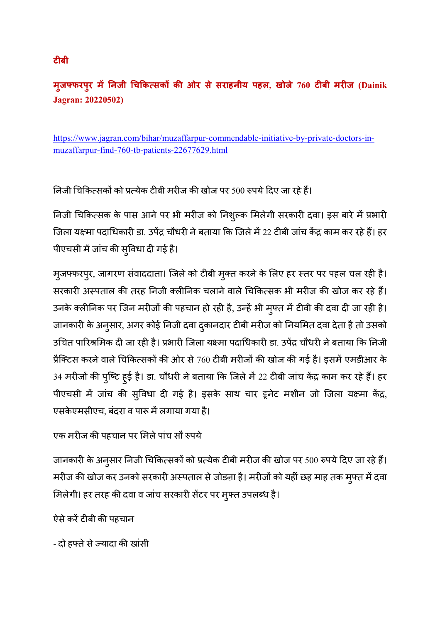# **मुजफरपुर म नजी च क"सक क ओर से सराहनीय पहल, खोजे 760 टबी मरज (Dainik Jagran: 20220502)**

https://www.jagran.com/bihar/muzaffarpur-commendable-initiative-by-private-doctors-inmuzaffarpur-find-760-tb-patients-22677629.html

निजी चिकित्सकों को प्रत्येक टीबी मरीज की खोज पर 500 रुपये दिए जा रहे हैं।

निजी चिकित्सक के पास आने पर भी मरीज को निशुल्क मिलेगी सरकारी दवा। इस बारे में प्रभारी जिला यक्ष्मा पदाधिकारी डा. उपेंद्र चौधरी ने बताया कि जिले में 22 टीबी जांच केंद्र काम कर रहे हैं। हर पीएचसी में जांच की सुविधा दी गई है।

मुजफ्फरपुर, जागरण संवाददाता। जिले को टीबी मुक्त करने के लिए हर स्तर पर पहल चल रही है। सरकारी अस्पताल की तरह निजी क्लीनिक चलाने वाले चिकित्सक भी मरीज की खोज कर रहे हैं। उनके क्लीनिक पर जिन मरीजों की पहचान हो रही है, उन्हें भी मुफ्त में टीवी की दवा दी जा रही है। जानकारी के अनुसार, अगर कोई निजी दवा दुकानदार टीबी मरीज को नियमित दवा देता है तो उसको उचित पारिश्रमिक दी जा रही है। प्रभारी जिला यक्ष्मा पदाधिकारी डा. उपेंद्र चौधरी ने बताया कि निजी प्रैक्टिस करने वाले चिकित्सकों की ओर से 760 टीबी मरीजों की खोज की गई है। इसमें एमडीआर के 34 मरीजों की पुष्टि हुई है। डा. चौधरी ने बताया कि जिले में 22 टीबी जांच केंद्र काम कर रहे हैं। हर पीएचसी में जांच की सुविधा दी गई है। इसके साथ चार हूनेट मशीन जो जिला यक्ष्मा केंद्र, एसकेएमसीएच, बंदरा व पारू में लगाया गया है।

# एक मरीज की पहचान पर मिले पांच सौ रुपये

जानकारी के अनुसार निजी चिकित्सकों को प्रत्येक टीबी मरीज की खोज पर 500 रुपये दिए जा रहे हैं। मरीज की खोज कर उनको सरकारी अस्पताल से जोड़ना है। मरीजों को यहीं छह माह तक मुफ्त में दवा मिलेगी। हर तरह की दवा व जांच सरकारी सेंटर पर मुफ्त उपलब्ध है।

ऐसे करें टीबी की पहचान

- दो हफ्ते से ज्यादा की खांसी

# **टबी**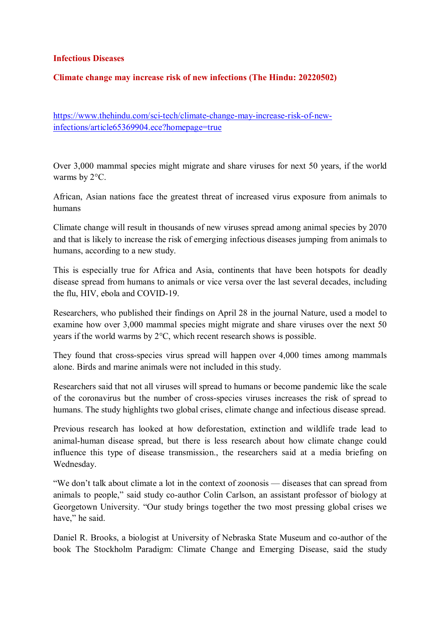#### **Infectious Diseases**

#### **Climate change may increase risk of new infections (The Hindu: 20220502)**

https://www.thehindu.com/sci-tech/climate-change-may-increase-risk-of-newinfections/article65369904.ece?homepage=true

Over 3,000 mammal species might migrate and share viruses for next 50 years, if the world warms by 2°C.

African, Asian nations face the greatest threat of increased virus exposure from animals to humans

Climate change will result in thousands of new viruses spread among animal species by 2070 and that is likely to increase the risk of emerging infectious diseases jumping from animals to humans, according to a new study.

This is especially true for Africa and Asia, continents that have been hotspots for deadly disease spread from humans to animals or vice versa over the last several decades, including the flu, HIV, ebola and COVID-19.

Researchers, who published their findings on April 28 in the journal Nature, used a model to examine how over 3,000 mammal species might migrate and share viruses over the next 50 years if the world warms by 2°C, which recent research shows is possible.

They found that cross-species virus spread will happen over 4,000 times among mammals alone. Birds and marine animals were not included in this study.

Researchers said that not all viruses will spread to humans or become pandemic like the scale of the coronavirus but the number of cross-species viruses increases the risk of spread to humans. The study highlights two global crises, climate change and infectious disease spread.

Previous research has looked at how deforestation, extinction and wildlife trade lead to animal-human disease spread, but there is less research about how climate change could influence this type of disease transmission., the researchers said at a media briefing on Wednesday.

"We don't talk about climate a lot in the context of zoonosis — diseases that can spread from animals to people," said study co-author Colin Carlson, an assistant professor of biology at Georgetown University. "Our study brings together the two most pressing global crises we have." he said.

Daniel R. Brooks, a biologist at University of Nebraska State Museum and co-author of the book The Stockholm Paradigm: Climate Change and Emerging Disease, said the study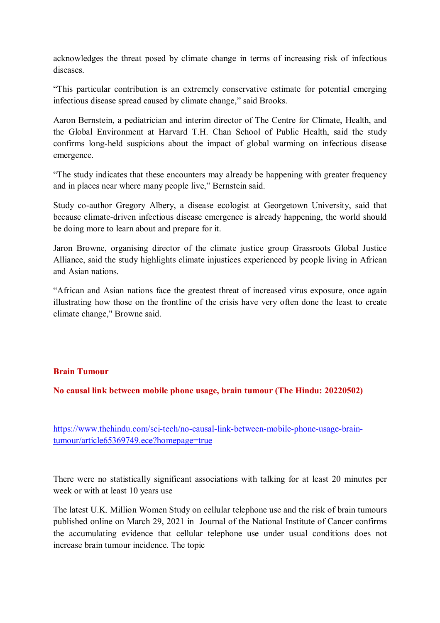acknowledges the threat posed by climate change in terms of increasing risk of infectious diseases.

"This particular contribution is an extremely conservative estimate for potential emerging infectious disease spread caused by climate change," said Brooks.

Aaron Bernstein, a pediatrician and interim director of The Centre for Climate, Health, and the Global Environment at Harvard T.H. Chan School of Public Health, said the study confirms long-held suspicions about the impact of global warming on infectious disease emergence.

"The study indicates that these encounters may already be happening with greater frequency and in places near where many people live," Bernstein said.

Study co-author Gregory Albery, a disease ecologist at Georgetown University, said that because climate-driven infectious disease emergence is already happening, the world should be doing more to learn about and prepare for it.

Jaron Browne, organising director of the climate justice group Grassroots Global Justice Alliance, said the study highlights climate injustices experienced by people living in African and Asian nations.

"African and Asian nations face the greatest threat of increased virus exposure, once again illustrating how those on the frontline of the crisis have very often done the least to create climate change," Browne said.

## **Brain Tumour**

**No causal link between mobile phone usage, brain tumour (The Hindu: 20220502)** 

https://www.thehindu.com/sci-tech/no-causal-link-between-mobile-phone-usage-braintumour/article65369749.ece?homepage=true

There were no statistically significant associations with talking for at least 20 minutes per week or with at least 10 years use

The latest U.K. Million Women Study on cellular telephone use and the risk of brain tumours published online on March 29, 2021 in Journal of the National Institute of Cancer confirms the accumulating evidence that cellular telephone use under usual conditions does not increase brain tumour incidence. The topic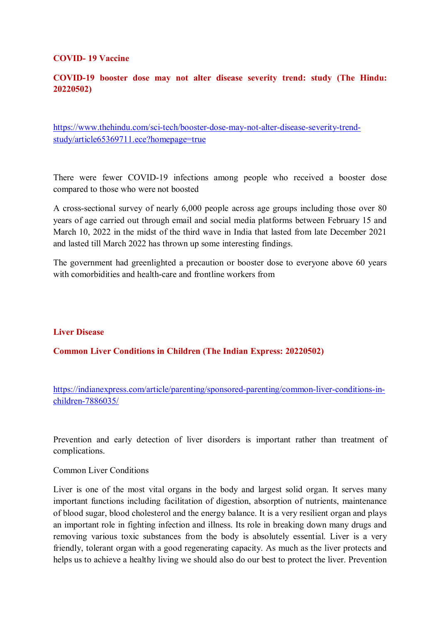#### **COVID- 19 Vaccine**

# **COVID-19 booster dose may not alter disease severity trend: study (The Hindu: 20220502)**

https://www.thehindu.com/sci-tech/booster-dose-may-not-alter-disease-severity-trendstudy/article65369711.ece?homepage=true

There were fewer COVID-19 infections among people who received a booster dose compared to those who were not boosted

A cross-sectional survey of nearly 6,000 people across age groups including those over 80 years of age carried out through email and social media platforms between February 15 and March 10, 2022 in the midst of the third wave in India that lasted from late December 2021 and lasted till March 2022 has thrown up some interesting findings.

The government had greenlighted a precaution or booster dose to everyone above 60 years with comorbidities and health-care and frontline workers from

#### **Liver Disease**

## **Common Liver Conditions in Children (The Indian Express: 20220502)**

https://indianexpress.com/article/parenting/sponsored-parenting/common-liver-conditions-inchildren-7886035/

Prevention and early detection of liver disorders is important rather than treatment of complications.

Common Liver Conditions

Liver is one of the most vital organs in the body and largest solid organ. It serves many important functions including facilitation of digestion, absorption of nutrients, maintenance of blood sugar, blood cholesterol and the energy balance. It is a very resilient organ and plays an important role in fighting infection and illness. Its role in breaking down many drugs and removing various toxic substances from the body is absolutely essential. Liver is a very friendly, tolerant organ with a good regenerating capacity. As much as the liver protects and helps us to achieve a healthy living we should also do our best to protect the liver. Prevention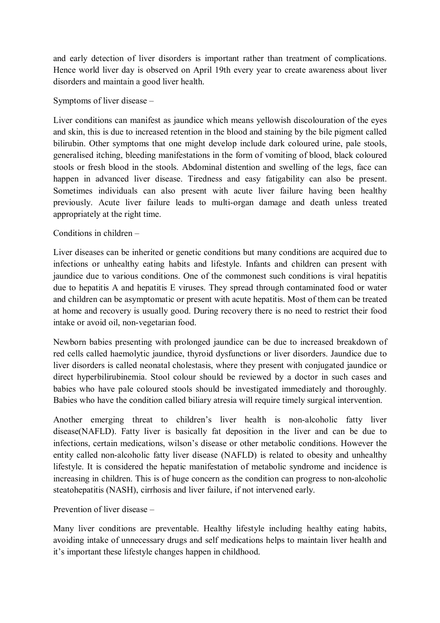and early detection of liver disorders is important rather than treatment of complications. Hence world liver day is observed on April 19th every year to create awareness about liver disorders and maintain a good liver health.

## Symptoms of liver disease –

Liver conditions can manifest as jaundice which means yellowish discolouration of the eyes and skin, this is due to increased retention in the blood and staining by the bile pigment called bilirubin. Other symptoms that one might develop include dark coloured urine, pale stools, generalised itching, bleeding manifestations in the form of vomiting of blood, black coloured stools or fresh blood in the stools. Abdominal distention and swelling of the legs, face can happen in advanced liver disease. Tiredness and easy fatigability can also be present. Sometimes individuals can also present with acute liver failure having been healthy previously. Acute liver failure leads to multi-organ damage and death unless treated appropriately at the right time.

# Conditions in children –

Liver diseases can be inherited or genetic conditions but many conditions are acquired due to infections or unhealthy eating habits and lifestyle. Infants and children can present with jaundice due to various conditions. One of the commonest such conditions is viral hepatitis due to hepatitis A and hepatitis E viruses. They spread through contaminated food or water and children can be asymptomatic or present with acute hepatitis. Most of them can be treated at home and recovery is usually good. During recovery there is no need to restrict their food intake or avoid oil, non-vegetarian food.

Newborn babies presenting with prolonged jaundice can be due to increased breakdown of red cells called haemolytic jaundice, thyroid dysfunctions or liver disorders. Jaundice due to liver disorders is called neonatal cholestasis, where they present with conjugated jaundice or direct hyperbilirubinemia. Stool colour should be reviewed by a doctor in such cases and babies who have pale coloured stools should be investigated immediately and thoroughly. Babies who have the condition called biliary atresia will require timely surgical intervention.

Another emerging threat to children's liver health is non-alcoholic fatty liver disease(NAFLD). Fatty liver is basically fat deposition in the liver and can be due to infections, certain medications, wilson's disease or other metabolic conditions. However the entity called non-alcoholic fatty liver disease (NAFLD) is related to obesity and unhealthy lifestyle. It is considered the hepatic manifestation of metabolic syndrome and incidence is increasing in children. This is of huge concern as the condition can progress to non-alcoholic steatohepatitis (NASH), cirrhosis and liver failure, if not intervened early.

Prevention of liver disease –

Many liver conditions are preventable. Healthy lifestyle including healthy eating habits, avoiding intake of unnecessary drugs and self medications helps to maintain liver health and it's important these lifestyle changes happen in childhood.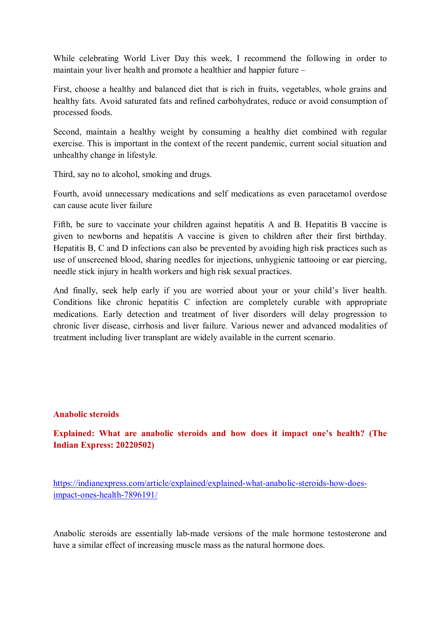While celebrating World Liver Day this week, I recommend the following in order to maintain your liver health and promote a healthier and happier future –

First, choose a healthy and balanced diet that is rich in fruits, vegetables, whole grains and healthy fats. Avoid saturated fats and refined carbohydrates, reduce or avoid consumption of processed foods.

Second, maintain a healthy weight by consuming a healthy diet combined with regular exercise. This is important in the context of the recent pandemic, current social situation and unhealthy change in lifestyle.

Third, say no to alcohol, smoking and drugs.

Fourth, avoid unnecessary medications and self medications as even paracetamol overdose can cause acute liver failure

Fifth, be sure to vaccinate your children against hepatitis A and B. Hepatitis B vaccine is given to newborns and hepatitis A vaccine is given to children after their first birthday. Hepatitis B, C and D infections can also be prevented by avoiding high risk practices such as use of unscreened blood, sharing needles for injections, unhygienic tattooing or ear piercing, needle stick injury in health workers and high risk sexual practices.

And finally, seek help early if you are worried about your or your child's liver health. Conditions like chronic hepatitis C infection are completely curable with appropriate medications. Early detection and treatment of liver disorders will delay progression to chronic liver disease, cirrhosis and liver failure. Various newer and advanced modalities of treatment including liver transplant are widely available in the current scenario.

## **Anabolic steroids**

**Explained: What are anabolic steroids and how does it impact one's health? (The Indian Express: 20220502)** 

https://indianexpress.com/article/explained/explained-what-anabolic-steroids-how-doesimpact-ones-health-7896191/

Anabolic steroids are essentially lab-made versions of the male hormone testosterone and have a similar effect of increasing muscle mass as the natural hormone does.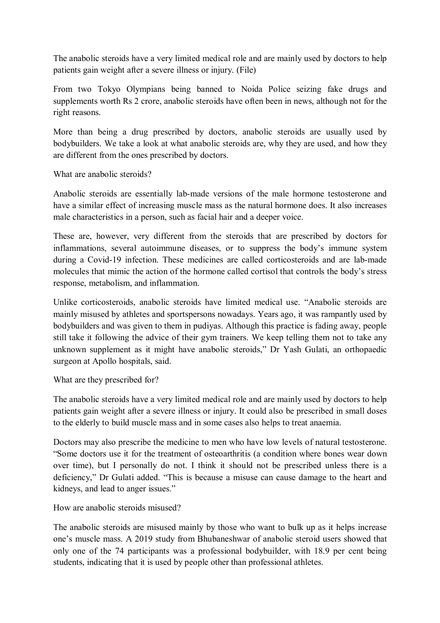The anabolic steroids have a very limited medical role and are mainly used by doctors to help patients gain weight after a severe illness or injury. (File)

From two Tokyo Olympians being banned to Noida Police seizing fake drugs and supplements worth Rs 2 crore, anabolic steroids have often been in news, although not for the right reasons.

More than being a drug prescribed by doctors, anabolic steroids are usually used by bodybuilders. We take a look at what anabolic steroids are, why they are used, and how they are different from the ones prescribed by doctors.

What are anabolic steroids?

Anabolic steroids are essentially lab-made versions of the male hormone testosterone and have a similar effect of increasing muscle mass as the natural hormone does. It also increases male characteristics in a person, such as facial hair and a deeper voice.

These are, however, very different from the steroids that are prescribed by doctors for inflammations, several autoimmune diseases, or to suppress the body's immune system during a Covid-19 infection. These medicines are called corticosteroids and are lab-made molecules that mimic the action of the hormone called cortisol that controls the body's stress response, metabolism, and inflammation.

Unlike corticosteroids, anabolic steroids have limited medical use. "Anabolic steroids are mainly misused by athletes and sportspersons nowadays. Years ago, it was rampantly used by bodybuilders and was given to them in pudiyas. Although this practice is fading away, people still take it following the advice of their gym trainers. We keep telling them not to take any unknown supplement as it might have anabolic steroids," Dr Yash Gulati, an orthopaedic surgeon at Apollo hospitals, said.

What are they prescribed for?

The anabolic steroids have a very limited medical role and are mainly used by doctors to help patients gain weight after a severe illness or injury. It could also be prescribed in small doses to the elderly to build muscle mass and in some cases also helps to treat anaemia.

Doctors may also prescribe the medicine to men who have low levels of natural testosterone. "Some doctors use it for the treatment of osteoarthritis (a condition where bones wear down over time), but I personally do not. I think it should not be prescribed unless there is a deficiency," Dr Gulati added. "This is because a misuse can cause damage to the heart and kidneys, and lead to anger issues."

How are anabolic steroids misused?

The anabolic steroids are misused mainly by those who want to bulk up as it helps increase one's muscle mass. A 2019 study from Bhubaneshwar of anabolic steroid users showed that only one of the 74 participants was a professional bodybuilder, with 18.9 per cent being students, indicating that it is used by people other than professional athletes.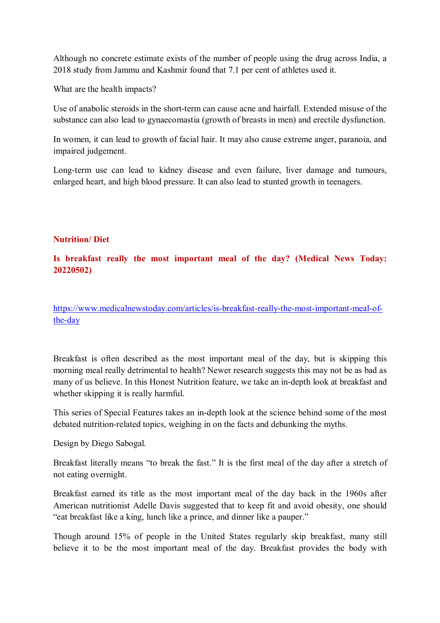Although no concrete estimate exists of the number of people using the drug across India, a 2018 study from Jammu and Kashmir found that 7.1 per cent of athletes used it.

What are the health impacts?

Use of anabolic steroids in the short-term can cause acne and hairfall. Extended misuse of the substance can also lead to gynaecomastia (growth of breasts in men) and erectile dysfunction.

In women, it can lead to growth of facial hair. It may also cause extreme anger, paranoia, and impaired judgement.

Long-term use can lead to kidney disease and even failure, liver damage and tumours, enlarged heart, and high blood pressure. It can also lead to stunted growth in teenagers.

## **Nutrition/ Diet**

# **Is breakfast really the most important meal of the day? (Medical News Today: 20220502)**

https://www.medicalnewstoday.com/articles/is-breakfast-really-the-most-important-meal-ofthe-day

Breakfast is often described as the most important meal of the day, but is skipping this morning meal really detrimental to health? Newer research suggests this may not be as bad as many of us believe. In this Honest Nutrition feature, we take an in-depth look at breakfast and whether skipping it is really harmful.

This series of Special Features takes an in-depth look at the science behind some of the most debated nutrition-related topics, weighing in on the facts and debunking the myths.

Design by Diego Sabogal.

Breakfast literally means "to break the fast." It is the first meal of the day after a stretch of not eating overnight.

Breakfast earned its title as the most important meal of the day back in the 1960s after American nutritionist Adelle Davis suggested that to keep fit and avoid obesity, one should "eat breakfast like a king, lunch like a prince, and dinner like a pauper."

Though around 15% of people in the United States regularly skip breakfast, many still believe it to be the most important meal of the day. Breakfast provides the body with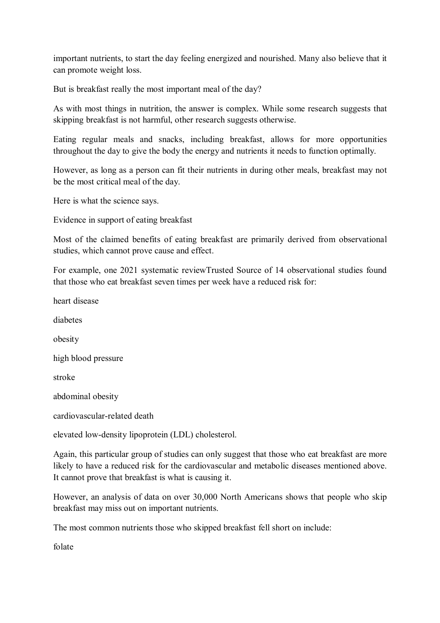important nutrients, to start the day feeling energized and nourished. Many also believe that it can promote weight loss.

But is breakfast really the most important meal of the day?

As with most things in nutrition, the answer is complex. While some research suggests that skipping breakfast is not harmful, other research suggests otherwise.

Eating regular meals and snacks, including breakfast, allows for more opportunities throughout the day to give the body the energy and nutrients it needs to function optimally.

However, as long as a person can fit their nutrients in during other meals, breakfast may not be the most critical meal of the day.

Here is what the science says.

Evidence in support of eating breakfast

Most of the claimed benefits of eating breakfast are primarily derived from observational studies, which cannot prove cause and effect.

For example, one 2021 systematic reviewTrusted Source of 14 observational studies found that those who eat breakfast seven times per week have a reduced risk for:

heart disease diabetes obesity high blood pressure stroke abdominal obesity cardiovascular-related death elevated low-density lipoprotein (LDL) cholesterol.

Again, this particular group of studies can only suggest that those who eat breakfast are more likely to have a reduced risk for the cardiovascular and metabolic diseases mentioned above. It cannot prove that breakfast is what is causing it.

However, an analysis of data on over 30,000 North Americans shows that people who skip breakfast may miss out on important nutrients.

The most common nutrients those who skipped breakfast fell short on include:

folate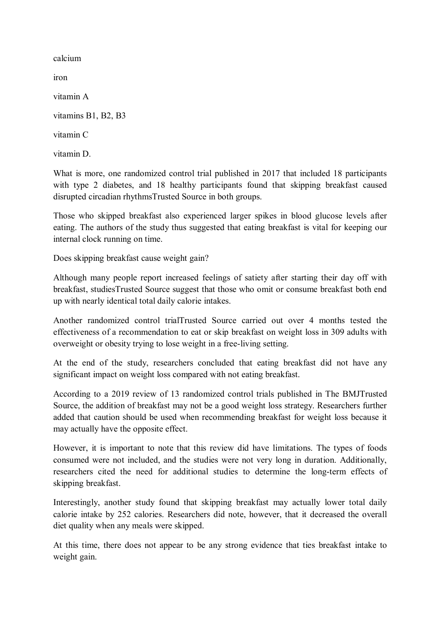calcium

iron

vitamin A

vitamins B1, B2, B3

vitamin C

vitamin D.

What is more, one randomized control trial published in 2017 that included 18 participants with type 2 diabetes, and 18 healthy participants found that skipping breakfast caused disrupted circadian rhythmsTrusted Source in both groups.

Those who skipped breakfast also experienced larger spikes in blood glucose levels after eating. The authors of the study thus suggested that eating breakfast is vital for keeping our internal clock running on time.

Does skipping breakfast cause weight gain?

Although many people report increased feelings of satiety after starting their day off with breakfast, studiesTrusted Source suggest that those who omit or consume breakfast both end up with nearly identical total daily calorie intakes.

Another randomized control trialTrusted Source carried out over 4 months tested the effectiveness of a recommendation to eat or skip breakfast on weight loss in 309 adults with overweight or obesity trying to lose weight in a free-living setting.

At the end of the study, researchers concluded that eating breakfast did not have any significant impact on weight loss compared with not eating breakfast.

According to a 2019 review of 13 randomized control trials published in The BMJTrusted Source, the addition of breakfast may not be a good weight loss strategy. Researchers further added that caution should be used when recommending breakfast for weight loss because it may actually have the opposite effect.

However, it is important to note that this review did have limitations. The types of foods consumed were not included, and the studies were not very long in duration. Additionally, researchers cited the need for additional studies to determine the long-term effects of skipping breakfast.

Interestingly, another study found that skipping breakfast may actually lower total daily calorie intake by 252 calories. Researchers did note, however, that it decreased the overall diet quality when any meals were skipped.

At this time, there does not appear to be any strong evidence that ties breakfast intake to weight gain.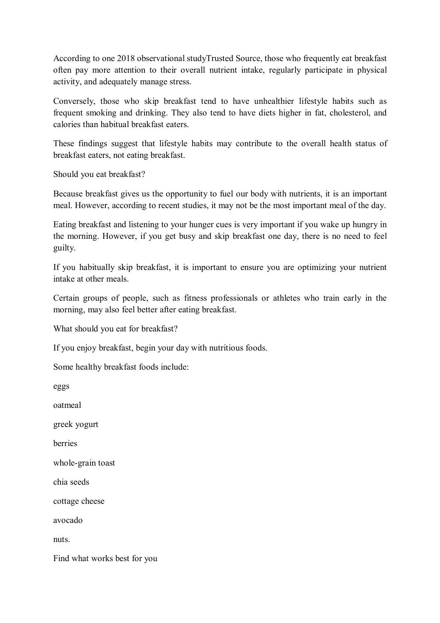According to one 2018 observational studyTrusted Source, those who frequently eat breakfast often pay more attention to their overall nutrient intake, regularly participate in physical activity, and adequately manage stress.

Conversely, those who skip breakfast tend to have unhealthier lifestyle habits such as frequent smoking and drinking. They also tend to have diets higher in fat, cholesterol, and calories than habitual breakfast eaters.

These findings suggest that lifestyle habits may contribute to the overall health status of breakfast eaters, not eating breakfast.

Should you eat breakfast?

Because breakfast gives us the opportunity to fuel our body with nutrients, it is an important meal. However, according to recent studies, it may not be the most important meal of the day.

Eating breakfast and listening to your hunger cues is very important if you wake up hungry in the morning. However, if you get busy and skip breakfast one day, there is no need to feel guilty.

If you habitually skip breakfast, it is important to ensure you are optimizing your nutrient intake at other meals.

Certain groups of people, such as fitness professionals or athletes who train early in the morning, may also feel better after eating breakfast.

What should you eat for breakfast?

If you enjoy breakfast, begin your day with nutritious foods.

Some healthy breakfast foods include:

eggs

oatmeal

greek yogurt

berries

whole-grain toast

chia seeds

cottage cheese

avocado

nuts.

Find what works best for you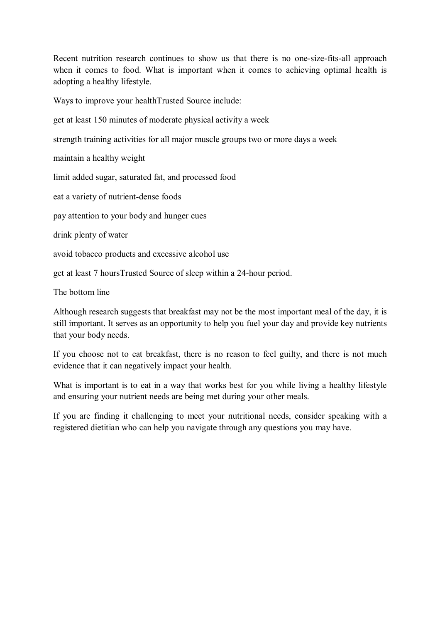Recent nutrition research continues to show us that there is no one-size-fits-all approach when it comes to food. What is important when it comes to achieving optimal health is adopting a healthy lifestyle.

Ways to improve your healthTrusted Source include:

get at least 150 minutes of moderate physical activity a week

strength training activities for all major muscle groups two or more days a week

maintain a healthy weight

limit added sugar, saturated fat, and processed food

eat a variety of nutrient-dense foods

pay attention to your body and hunger cues

drink plenty of water

avoid tobacco products and excessive alcohol use

get at least 7 hoursTrusted Source of sleep within a 24-hour period.

The bottom line

Although research suggests that breakfast may not be the most important meal of the day, it is still important. It serves as an opportunity to help you fuel your day and provide key nutrients that your body needs.

If you choose not to eat breakfast, there is no reason to feel guilty, and there is not much evidence that it can negatively impact your health.

What is important is to eat in a way that works best for you while living a healthy lifestyle and ensuring your nutrient needs are being met during your other meals.

If you are finding it challenging to meet your nutritional needs, consider speaking with a registered dietitian who can help you navigate through any questions you may have.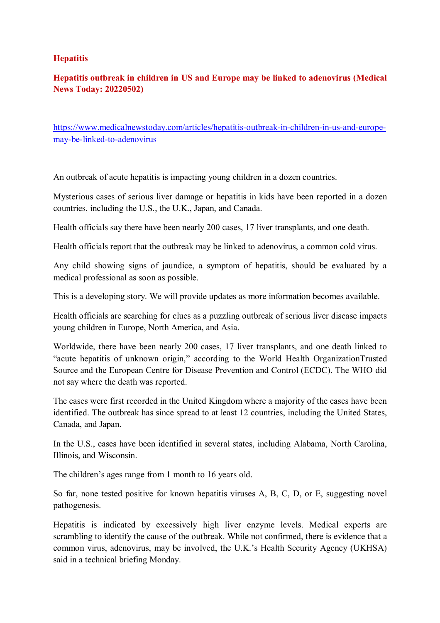## **Hepatitis**

# **Hepatitis outbreak in children in US and Europe may be linked to adenovirus (Medical News Today: 20220502)**

https://www.medicalnewstoday.com/articles/hepatitis-outbreak-in-children-in-us-and-europemay-be-linked-to-adenovirus

An outbreak of acute hepatitis is impacting young children in a dozen countries.

Mysterious cases of serious liver damage or hepatitis in kids have been reported in a dozen countries, including the U.S., the U.K., Japan, and Canada.

Health officials say there have been nearly 200 cases, 17 liver transplants, and one death.

Health officials report that the outbreak may be linked to adenovirus, a common cold virus.

Any child showing signs of jaundice, a symptom of hepatitis, should be evaluated by a medical professional as soon as possible.

This is a developing story. We will provide updates as more information becomes available.

Health officials are searching for clues as a puzzling outbreak of serious liver disease impacts young children in Europe, North America, and Asia.

Worldwide, there have been nearly 200 cases, 17 liver transplants, and one death linked to "acute hepatitis of unknown origin," according to the World Health OrganizationTrusted Source and the European Centre for Disease Prevention and Control (ECDC). The WHO did not say where the death was reported.

The cases were first recorded in the United Kingdom where a majority of the cases have been identified. The outbreak has since spread to at least 12 countries, including the United States, Canada, and Japan.

In the U.S., cases have been identified in several states, including Alabama, North Carolina, Illinois, and Wisconsin.

The children's ages range from 1 month to 16 years old.

So far, none tested positive for known hepatitis viruses A, B, C, D, or E, suggesting novel pathogenesis.

Hepatitis is indicated by excessively high liver enzyme levels. Medical experts are scrambling to identify the cause of the outbreak. While not confirmed, there is evidence that a common virus, adenovirus, may be involved, the U.K.'s Health Security Agency (UKHSA) said in a technical briefing Monday.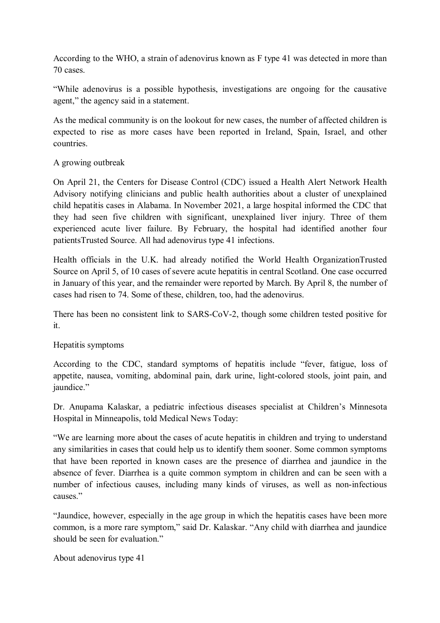According to the WHO, a strain of adenovirus known as F type 41 was detected in more than 70 cases.

"While adenovirus is a possible hypothesis, investigations are ongoing for the causative agent," the agency said in a statement.

As the medical community is on the lookout for new cases, the number of affected children is expected to rise as more cases have been reported in Ireland, Spain, Israel, and other countries.

# A growing outbreak

On April 21, the Centers for Disease Control (CDC) issued a Health Alert Network Health Advisory notifying clinicians and public health authorities about a cluster of unexplained child hepatitis cases in Alabama. In November 2021, a large hospital informed the CDC that they had seen five children with significant, unexplained liver injury. Three of them experienced acute liver failure. By February, the hospital had identified another four patientsTrusted Source. All had adenovirus type 41 infections.

Health officials in the U.K. had already notified the World Health OrganizationTrusted Source on April 5, of 10 cases of severe acute hepatitis in central Scotland. One case occurred in January of this year, and the remainder were reported by March. By April 8, the number of cases had risen to 74. Some of these, children, too, had the adenovirus.

There has been no consistent link to SARS-CoV-2, though some children tested positive for it.

# Hepatitis symptoms

According to the CDC, standard symptoms of hepatitis include "fever, fatigue, loss of appetite, nausea, vomiting, abdominal pain, dark urine, light-colored stools, joint pain, and jaundice."

Dr. Anupama Kalaskar, a pediatric infectious diseases specialist at Children's Minnesota Hospital in Minneapolis, told Medical News Today:

"We are learning more about the cases of acute hepatitis in children and trying to understand any similarities in cases that could help us to identify them sooner. Some common symptoms that have been reported in known cases are the presence of diarrhea and jaundice in the absence of fever. Diarrhea is a quite common symptom in children and can be seen with a number of infectious causes, including many kinds of viruses, as well as non-infectious causes<sup>"</sup>

"Jaundice, however, especially in the age group in which the hepatitis cases have been more common, is a more rare symptom," said Dr. Kalaskar. "Any child with diarrhea and jaundice should be seen for evaluation."

About adenovirus type 41